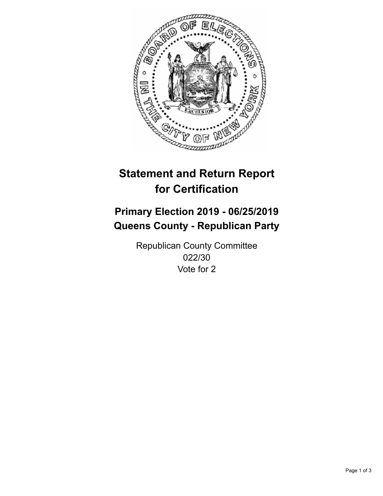

## **Statement and Return Report for Certification**

## **Primary Election 2019 - 06/25/2019 Queens County - Republican Party**

Republican County Committee 022/30 Vote for 2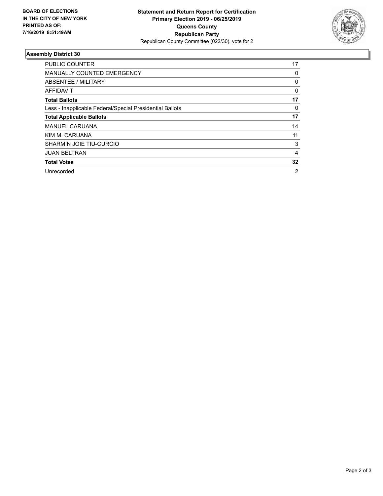

## **Assembly District 30**

| <b>PUBLIC COUNTER</b>                                    | 17             |
|----------------------------------------------------------|----------------|
| <b>MANUALLY COUNTED EMERGENCY</b>                        | 0              |
| ABSENTEE / MILITARY                                      | 0              |
| AFFIDAVIT                                                | 0              |
| <b>Total Ballots</b>                                     | 17             |
| Less - Inapplicable Federal/Special Presidential Ballots | 0              |
| <b>Total Applicable Ballots</b>                          | 17             |
| <b>MANUEL CARUANA</b>                                    | 14             |
| KIM M. CARUANA                                           | 11             |
| <b>SHARMIN JOIE TIU-CURCIO</b>                           | 3              |
| <b>JUAN BELTRAN</b>                                      | 4              |
| <b>Total Votes</b>                                       | 32             |
| Unrecorded                                               | $\overline{2}$ |